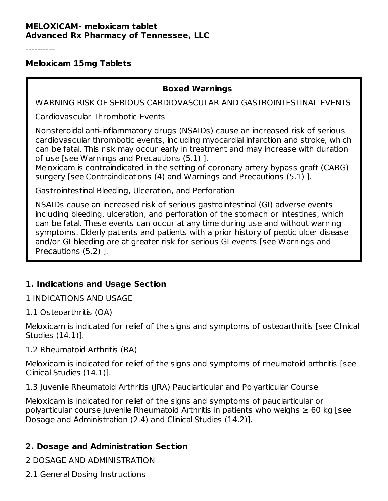#### **MELOXICAM- meloxicam tablet Advanced Rx Pharmacy of Tennessee, LLC**

----------

#### **Meloxicam 15mg Tablets**

#### **Boxed Warnings**

WARNING RISK OF SERIOUS CARDIOVASCULAR AND GASTROINTESTINAL EVENTS

Cardiovascular Thrombotic Events

Nonsteroidal anti-inflammatory drugs (NSAIDs) cause an increased risk of serious cardiovascular thrombotic events, including myocardial infarction and stroke, which can be fatal. This risk may occur early in treatment and may increase with duration of use [see Warnings and Precautions (5.1) ].

Meloxicam is contraindicated in the setting of coronary artery bypass graft (CABG) surgery [see Contraindications (4) and Warnings and Precautions (5.1) ].

Gastrointestinal Bleeding, Ulceration, and Perforation

NSAIDs cause an increased risk of serious gastrointestinal (GI) adverse events including bleeding, ulceration, and perforation of the stomach or intestines, which can be fatal. These events can occur at any time during use and without warning symptoms. Elderly patients and patients with a prior history of peptic ulcer disease and/or GI bleeding are at greater risk for serious GI events [see Warnings and Precautions (5.2) ].

### **1. Indications and Usage Section**

1 INDICATIONS AND USAGE

1.1 Osteoarthritis (OA)

Meloxicam is indicated for relief of the signs and symptoms of osteoarthritis [see Clinical Studies (14.1)].

1.2 Rheumatoid Arthritis (RA)

Meloxicam is indicated for relief of the signs and symptoms of rheumatoid arthritis [see Clinical Studies (14.1)].

1.3 Juvenile Rheumatoid Arthritis (JRA) Pauciarticular and Polyarticular Course

Meloxicam is indicated for relief of the signs and symptoms of pauciarticular or polyarticular course Juvenile Rheumatoid Arthritis in patients who weighs  $\geq 60$  kg [see Dosage and Administration (2.4) and Clinical Studies (14.2)].

### **2. Dosage and Administration Section**

2 DOSAGE AND ADMINISTRATION

2.1 General Dosing Instructions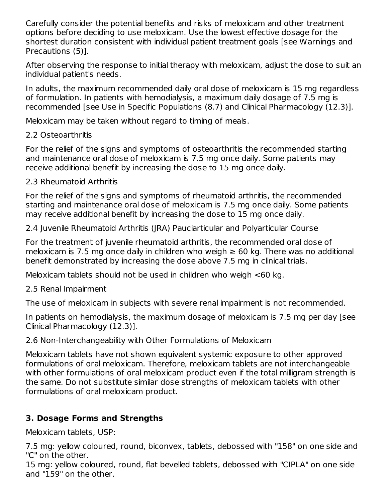Carefully consider the potential benefits and risks of meloxicam and other treatment options before deciding to use meloxicam. Use the lowest effective dosage for the shortest duration consistent with individual patient treatment goals [see Warnings and Precautions (5)].

After observing the response to initial therapy with meloxicam, adjust the dose to suit an individual patient's needs.

In adults, the maximum recommended daily oral dose of meloxicam is 15 mg regardless of formulation. In patients with hemodialysis, a maximum daily dosage of 7.5 mg is recommended [see Use in Specific Populations (8.7) and Clinical Pharmacology (12.3)].

Meloxicam may be taken without regard to timing of meals.

# 2.2 Osteoarthritis

For the relief of the signs and symptoms of osteoarthritis the recommended starting and maintenance oral dose of meloxicam is 7.5 mg once daily. Some patients may receive additional benefit by increasing the dose to 15 mg once daily.

# 2.3 Rheumatoid Arthritis

For the relief of the signs and symptoms of rheumatoid arthritis, the recommended starting and maintenance oral dose of meloxicam is 7.5 mg once daily. Some patients may receive additional benefit by increasing the dose to 15 mg once daily.

2.4 Juvenile Rheumatoid Arthritis (JRA) Pauciarticular and Polyarticular Course

For the treatment of juvenile rheumatoid arthritis, the recommended oral dose of meloxicam is 7.5 mg once daily in children who weigh  $\geq$  60 kg. There was no additional benefit demonstrated by increasing the dose above 7.5 mg in clinical trials.

Meloxicam tablets should not be used in children who weigh <60 kg.

2.5 Renal Impairment

The use of meloxicam in subjects with severe renal impairment is not recommended.

In patients on hemodialysis, the maximum dosage of meloxicam is 7.5 mg per day [see Clinical Pharmacology (12.3)].

2.6 Non-Interchangeability with Other Formulations of Meloxicam

Meloxicam tablets have not shown equivalent systemic exposure to other approved formulations of oral meloxicam. Therefore, meloxicam tablets are not interchangeable with other formulations of oral meloxicam product even if the total milligram strength is the same. Do not substitute similar dose strengths of meloxicam tablets with other formulations of oral meloxicam product.

# **3. Dosage Forms and Strengths**

Meloxicam tablets, USP:

7.5 mg: yellow coloured, round, biconvex, tablets, debossed with "158" on one side and "C" on the other.

15 mg: yellow coloured, round, flat bevelled tablets, debossed with "CIPLA" on one side and "159" on the other.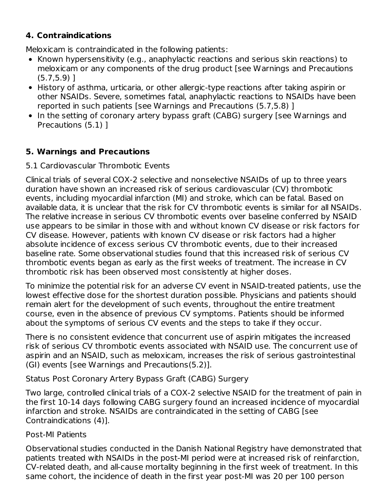# **4. Contraindications**

Meloxicam is contraindicated in the following patients:

- Known hypersensitivity (e.g., anaphylactic reactions and serious skin reactions) to meloxicam or any components of the drug product [see Warnings and Precautions (5.7,5.9) ]
- History of asthma, urticaria, or other allergic-type reactions after taking aspirin or other NSAIDs. Severe, sometimes fatal, anaphylactic reactions to NSAIDs have been reported in such patients [see Warnings and Precautions (5.7,5.8) ]
- In the setting of coronary artery bypass graft (CABG) surgery [see Warnings and Precautions (5.1) ]

# **5. Warnings and Precautions**

5.1 Cardiovascular Thrombotic Events

Clinical trials of several COX-2 selective and nonselective NSAIDs of up to three years duration have shown an increased risk of serious cardiovascular (CV) thrombotic events, including myocardial infarction (MI) and stroke, which can be fatal. Based on available data, it is unclear that the risk for CV thrombotic events is similar for all NSAIDs. The relative increase in serious CV thrombotic events over baseline conferred by NSAID use appears to be similar in those with and without known CV disease or risk factors for CV disease. However, patients with known CV disease or risk factors had a higher absolute incidence of excess serious CV thrombotic events, due to their increased baseline rate. Some observational studies found that this increased risk of serious CV thrombotic events began as early as the first weeks of treatment. The increase in CV thrombotic risk has been observed most consistently at higher doses.

To minimize the potential risk for an adverse CV event in NSAID-treated patients, use the lowest effective dose for the shortest duration possible. Physicians and patients should remain alert for the development of such events, throughout the entire treatment course, even in the absence of previous CV symptoms. Patients should be informed about the symptoms of serious CV events and the steps to take if they occur.

There is no consistent evidence that concurrent use of aspirin mitigates the increased risk of serious CV thrombotic events associated with NSAID use. The concurrent use of aspirin and an NSAID, such as meloxicam, increases the risk of serious gastrointestinal (GI) events [see Warnings and Precautions(5.2)].

Status Post Coronary Artery Bypass Graft (CABG) Surgery

Two large, controlled clinical trials of a COX-2 selective NSAID for the treatment of pain in the first 10-14 days following CABG surgery found an increased incidence of myocardial infarction and stroke. NSAIDs are contraindicated in the setting of CABG [see Contraindications (4)].

# Post-MI Patients

Observational studies conducted in the Danish National Registry have demonstrated that patients treated with NSAIDs in the post-MI period were at increased risk of reinfarction, CV-related death, and all-cause mortality beginning in the first week of treatment. In this same cohort, the incidence of death in the first year post-MI was 20 per 100 person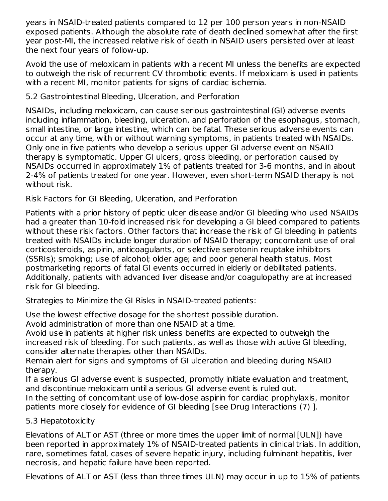years in NSAID-treated patients compared to 12 per 100 person years in non-NSAID exposed patients. Although the absolute rate of death declined somewhat after the first year post-MI, the increased relative risk of death in NSAID users persisted over at least the next four years of follow-up.

Avoid the use of meloxicam in patients with a recent MI unless the benefits are expected to outweigh the risk of recurrent CV thrombotic events. If meloxicam is used in patients with a recent MI, monitor patients for signs of cardiac ischemia.

5.2 Gastrointestinal Bleeding, Ulceration, and Perforation

NSAIDs, including meloxicam, can cause serious gastrointestinal (GI) adverse events including inflammation, bleeding, ulceration, and perforation of the esophagus, stomach, small intestine, or large intestine, which can be fatal. These serious adverse events can occur at any time, with or without warning symptoms, in patients treated with NSAIDs. Only one in five patients who develop a serious upper GI adverse event on NSAID therapy is symptomatic. Upper GI ulcers, gross bleeding, or perforation caused by NSAIDs occurred in approximately 1% of patients treated for 3-6 months, and in about 2-4% of patients treated for one year. However, even short-term NSAID therapy is not without risk.

Risk Factors for GI Bleeding, Ulceration, and Perforation

Patients with a prior history of peptic ulcer disease and/or GI bleeding who used NSAIDs had a greater than 10-fold increased risk for developing a GI bleed compared to patients without these risk factors. Other factors that increase the risk of GI bleeding in patients treated with NSAIDs include longer duration of NSAID therapy; concomitant use of oral corticosteroids, aspirin, anticoagulants, or selective serotonin reuptake inhibitors (SSRIs); smoking; use of alcohol; older age; and poor general health status. Most postmarketing reports of fatal GI events occurred in elderly or debilitated patients. Additionally, patients with advanced liver disease and/or coagulopathy are at increased risk for GI bleeding.

Strategies to Minimize the GI Risks in NSAID-treated patients:

Use the lowest effective dosage for the shortest possible duration.

Avoid administration of more than one NSAID at a time.

Avoid use in patients at higher risk unless benefits are expected to outweigh the increased risk of bleeding. For such patients, as well as those with active GI bleeding, consider alternate therapies other than NSAIDs.

Remain alert for signs and symptoms of GI ulceration and bleeding during NSAID therapy.

If a serious GI adverse event is suspected, promptly initiate evaluation and treatment, and discontinue meloxicam until a serious GI adverse event is ruled out.

In the setting of concomitant use of low-dose aspirin for cardiac prophylaxis, monitor patients more closely for evidence of GI bleeding [see Drug Interactions (7) ].

# 5.3 Hepatotoxicity

Elevations of ALT or AST (three or more times the upper limit of normal [ULN]) have been reported in approximately 1% of NSAID-treated patients in clinical trials. In addition, rare, sometimes fatal, cases of severe hepatic injury, including fulminant hepatitis, liver necrosis, and hepatic failure have been reported.

Elevations of ALT or AST (less than three times ULN) may occur in up to 15% of patients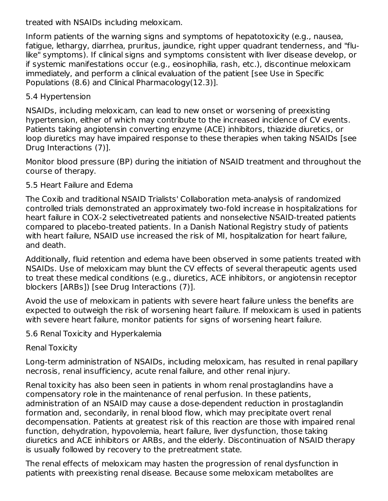treated with NSAIDs including meloxicam.

Inform patients of the warning signs and symptoms of hepatotoxicity (e.g., nausea, fatigue, lethargy, diarrhea, pruritus, jaundice, right upper quadrant tenderness, and "flulike" symptoms). If clinical signs and symptoms consistent with liver disease develop, or if systemic manifestations occur (e.g., eosinophilia, rash, etc.), discontinue meloxicam immediately, and perform a clinical evaluation of the patient [see Use in Specific Populations (8.6) and Clinical Pharmacology(12.3)].

### 5.4 Hypertension

NSAIDs, including meloxicam, can lead to new onset or worsening of preexisting hypertension, either of which may contribute to the increased incidence of CV events. Patients taking angiotensin converting enzyme (ACE) inhibitors, thiazide diuretics, or loop diuretics may have impaired response to these therapies when taking NSAIDs [see Drug Interactions (7)].

Monitor blood pressure (BP) during the initiation of NSAID treatment and throughout the course of therapy.

### 5.5 Heart Failure and Edema

The Coxib and traditional NSAID Trialists' Collaboration meta-analysis of randomized controlled trials demonstrated an approximately two-fold increase in hospitalizations for heart failure in COX-2 selectivetreated patients and nonselective NSAID-treated patients compared to placebo-treated patients. In a Danish National Registry study of patients with heart failure, NSAID use increased the risk of MI, hospitalization for heart failure, and death.

Additionally, fluid retention and edema have been observed in some patients treated with NSAIDs. Use of meloxicam may blunt the CV effects of several therapeutic agents used to treat these medical conditions (e.g., diuretics, ACE inhibitors, or angiotensin receptor blockers [ARBs]) [see Drug Interactions (7)].

Avoid the use of meloxicam in patients with severe heart failure unless the benefits are expected to outweigh the risk of worsening heart failure. If meloxicam is used in patients with severe heart failure, monitor patients for signs of worsening heart failure.

5.6 Renal Toxicity and Hyperkalemia

Renal Toxicity

Long-term administration of NSAIDs, including meloxicam, has resulted in renal papillary necrosis, renal insufficiency, acute renal failure, and other renal injury.

Renal toxicity has also been seen in patients in whom renal prostaglandins have a compensatory role in the maintenance of renal perfusion. In these patients, administration of an NSAID may cause a dose-dependent reduction in prostaglandin formation and, secondarily, in renal blood flow, which may precipitate overt renal decompensation. Patients at greatest risk of this reaction are those with impaired renal function, dehydration, hypovolemia, heart failure, liver dysfunction, those taking diuretics and ACE inhibitors or ARBs, and the elderly. Discontinuation of NSAID therapy is usually followed by recovery to the pretreatment state.

The renal effects of meloxicam may hasten the progression of renal dysfunction in patients with preexisting renal disease. Because some meloxicam metabolites are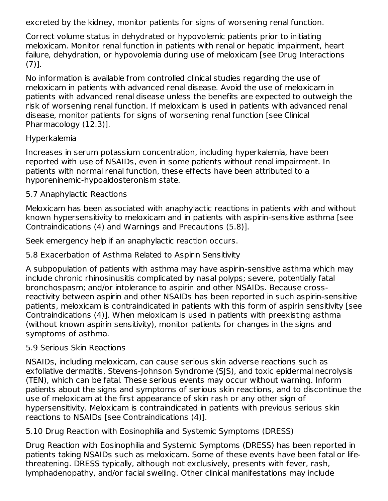excreted by the kidney, monitor patients for signs of worsening renal function.

Correct volume status in dehydrated or hypovolemic patients prior to initiating meloxicam. Monitor renal function in patients with renal or hepatic impairment, heart failure, dehydration, or hypovolemia during use of meloxicam [see Drug Interactions (7)].

No information is available from controlled clinical studies regarding the use of meloxicam in patients with advanced renal disease. Avoid the use of meloxicam in patients with advanced renal disease unless the benefits are expected to outweigh the risk of worsening renal function. If meloxicam is used in patients with advanced renal disease, monitor patients for signs of worsening renal function [see Clinical Pharmacology (12.3)].

### Hyperkalemia

Increases in serum potassium concentration, including hyperkalemia, have been reported with use of NSAIDs, even in some patients without renal impairment. In patients with normal renal function, these effects have been attributed to a hyporeninemic-hypoaldosteronism state.

### 5.7 Anaphylactic Reactions

Meloxicam has been associated with anaphylactic reactions in patients with and without known hypersensitivity to meloxicam and in patients with aspirin-sensitive asthma [see Contraindications (4) and Warnings and Precautions (5.8)].

Seek emergency help if an anaphylactic reaction occurs.

5.8 Exacerbation of Asthma Related to Aspirin Sensitivity

A subpopulation of patients with asthma may have aspirin-sensitive asthma which may include chronic rhinosinusitis complicated by nasal polyps; severe, potentially fatal bronchospasm; and/or intolerance to aspirin and other NSAIDs. Because crossreactivity between aspirin and other NSAIDs has been reported in such aspirin-sensitive patients, meloxicam is contraindicated in patients with this form of aspirin sensitivity [see Contraindications (4)]. When meloxicam is used in patients with preexisting asthma (without known aspirin sensitivity), monitor patients for changes in the signs and symptoms of asthma.

# 5.9 Serious Skin Reactions

NSAIDs, including meloxicam, can cause serious skin adverse reactions such as exfoliative dermatitis, Stevens-Johnson Syndrome (SJS), and toxic epidermal necrolysis (TEN), which can be fatal. These serious events may occur without warning. Inform patients about the signs and symptoms of serious skin reactions, and to discontinue the use of meloxicam at the first appearance of skin rash or any other sign of hypersensitivity. Meloxicam is contraindicated in patients with previous serious skin reactions to NSAIDs [see Contraindications (4)].

5.10 Drug Reaction with Eosinophilia and Systemic Symptoms (DRESS)

Drug Reaction with Eosinophilia and Systemic Symptoms (DRESS) has been reported in patients taking NSAIDs such as meloxicam. Some of these events have been fatal or lifethreatening. DRESS typically, although not exclusively, presents with fever, rash, lymphadenopathy, and/or facial swelling. Other clinical manifestations may include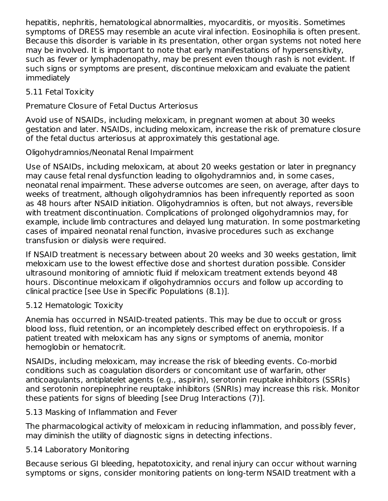hepatitis, nephritis, hematological abnormalities, myocarditis, or myositis. Sometimes symptoms of DRESS may resemble an acute viral infection. Eosinophilia is often present. Because this disorder is variable in its presentation, other organ systems not noted here may be involved. It is important to note that early manifestations of hypersensitivity, such as fever or lymphadenopathy, may be present even though rash is not evident. If such signs or symptoms are present, discontinue meloxicam and evaluate the patient immediately

### 5.11 Fetal Toxicity

Premature Closure of Fetal Ductus Arteriosus

Avoid use of NSAIDs, including meloxicam, in pregnant women at about 30 weeks gestation and later. NSAIDs, including meloxicam, increase the risk of premature closure of the fetal ductus arteriosus at approximately this gestational age.

Oligohydramnios/Neonatal Renal Impairment

Use of NSAIDs, including meloxicam, at about 20 weeks gestation or later in pregnancy may cause fetal renal dysfunction leading to oligohydramnios and, in some cases, neonatal renal impairment. These adverse outcomes are seen, on average, after days to weeks of treatment, although oligohydramnios has been infrequently reported as soon as 48 hours after NSAID initiation. Oligohydramnios is often, but not always, reversible with treatment discontinuation. Complications of prolonged oligohydramnios may, for example, include limb contractures and delayed lung maturation. In some postmarketing cases of impaired neonatal renal function, invasive procedures such as exchange transfusion or dialysis were required.

If NSAID treatment is necessary between about 20 weeks and 30 weeks gestation, limit meloxicam use to the lowest effective dose and shortest duration possible. Consider ultrasound monitoring of amniotic fluid if meloxicam treatment extends beyond 48 hours. Discontinue meloxicam if oligohydramnios occurs and follow up according to clinical practice [see Use in Specific Populations (8.1)].

# 5.12 Hematologic Toxicity

Anemia has occurred in NSAID-treated patients. This may be due to occult or gross blood loss, fluid retention, or an incompletely described effect on erythropoiesis. If a patient treated with meloxicam has any signs or symptoms of anemia, monitor hemoglobin or hematocrit.

NSAIDs, including meloxicam, may increase the risk of bleeding events. Co-morbid conditions such as coagulation disorders or concomitant use of warfarin, other anticoagulants, antiplatelet agents (e.g., aspirin), serotonin reuptake inhibitors (SSRIs) and serotonin norepinephrine reuptake inhibitors (SNRIs) may increase this risk. Monitor these patients for signs of bleeding [see Drug Interactions (7)].

# 5.13 Masking of Inflammation and Fever

The pharmacological activity of meloxicam in reducing inflammation, and possibly fever, may diminish the utility of diagnostic signs in detecting infections.

# 5.14 Laboratory Monitoring

Because serious GI bleeding, hepatotoxicity, and renal injury can occur without warning symptoms or signs, consider monitoring patients on long-term NSAID treatment with a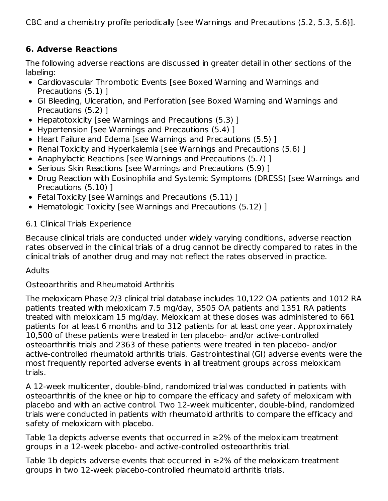# **6. Adverse Reactions**

The following adverse reactions are discussed in greater detail in other sections of the labeling:

- Cardiovascular Thrombotic Events [see Boxed Warning and Warnings and Precautions (5.1) ]
- GI Bleeding, Ulceration, and Perforation [see Boxed Warning and Warnings and Precautions (5.2) ]
- Hepatotoxicity [see Warnings and Precautions (5.3) ]
- Hypertension [see Warnings and Precautions (5.4) ]
- Heart Failure and Edema [see Warnings and Precautions (5.5) ]
- Renal Toxicity and Hyperkalemia [see Warnings and Precautions (5.6) ]
- Anaphylactic Reactions [see Warnings and Precautions (5.7)]
- Serious Skin Reactions [see Warnings and Precautions (5.9) ]
- Drug Reaction with Eosinophilia and Systemic Symptoms (DRESS) [see Warnings and Precautions (5.10) ]
- Fetal Toxicity [see Warnings and Precautions (5.11) ]
- Hematologic Toxicity [see Warnings and Precautions (5.12) ]

# 6.1 Clinical Trials Experience

Because clinical trials are conducted under widely varying conditions, adverse reaction rates observed in the clinical trials of a drug cannot be directly compared to rates in the clinical trials of another drug and may not reflect the rates observed in practice.

# **Adults**

# Osteoarthritis and Rheumatoid Arthritis

The meloxicam Phase 2/3 clinical trial database includes 10,122 OA patients and 1012 RA patients treated with meloxicam 7.5 mg/day, 3505 OA patients and 1351 RA patients treated with meloxicam 15 mg/day. Meloxicam at these doses was administered to 661 patients for at least 6 months and to 312 patients for at least one year. Approximately 10,500 of these patients were treated in ten placebo- and/or active-controlled osteoarthritis trials and 2363 of these patients were treated in ten placebo- and/or active-controlled rheumatoid arthritis trials. Gastrointestinal (GI) adverse events were the most frequently reported adverse events in all treatment groups across meloxicam trials.

A 12-week multicenter, double-blind, randomized trial was conducted in patients with osteoarthritis of the knee or hip to compare the efficacy and safety of meloxicam with placebo and with an active control. Two 12-week multicenter, double-blind, randomized trials were conducted in patients with rheumatoid arthritis to compare the efficacy and safety of meloxicam with placebo.

Table 1a depicts adverse events that occurred in ≥2% of the meloxicam treatment groups in a 12-week placebo- and active-controlled osteoarthritis trial.

Table 1b depicts adverse events that occurred in ≥2% of the meloxicam treatment groups in two 12-week placebo-controlled rheumatoid arthritis trials.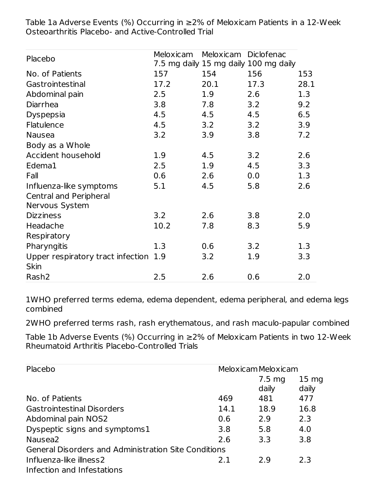Table 1a Adverse Events (%) Occurring in ≥2% of Meloxicam Patients in a 12-Week Osteoarthritis Placebo- and Active-Controlled Trial

|                                   | Meloxicam | Meloxicam | <b>Diclofenac</b>                     |      |
|-----------------------------------|-----------|-----------|---------------------------------------|------|
| Placebo                           |           |           | 7.5 mg daily 15 mg daily 100 mg daily |      |
| No. of Patients                   | 157       | 154       | 156                                   | 153  |
| Gastrointestinal                  | 17.2      | 20.1      | 17.3                                  | 28.1 |
| Abdominal pain                    | 2.5       | 1.9       | 2.6                                   | 1.3  |
| Diarrhea                          | 3.8       | 7.8       | 3.2                                   | 9.2  |
| <b>Dyspepsia</b>                  | 4.5       | 4.5       | 4.5                                   | 6.5  |
| Flatulence                        | 4.5       | 3.2       | 3.2                                   | 3.9  |
| <b>Nausea</b>                     | 3.2       | 3.9       | 3.8                                   | 7.2  |
| Body as a Whole                   |           |           |                                       |      |
| Accident household                | 1.9       | 4.5       | 3.2                                   | 2.6  |
| Edema1                            | 2.5       | 1.9       | 4.5                                   | 3.3  |
| Fall                              | 0.6       | 2.6       | 0.0                                   | 1.3  |
| Influenza-like symptoms           | 5.1       | 4.5       | 5.8                                   | 2.6  |
| <b>Central and Peripheral</b>     |           |           |                                       |      |
| Nervous System                    |           |           |                                       |      |
| <b>Dizziness</b>                  | 3.2       | 2.6       | 3.8                                   | 2.0  |
| Headache                          | 10.2      | 7.8       | 8.3                                   | 5.9  |
| Respiratory                       |           |           |                                       |      |
| Pharyngitis                       | 1.3       | 0.6       | 3.2                                   | 1.3  |
| Upper respiratory tract infection | 1.9       | 3.2       | 1.9                                   | 3.3  |
| <b>Skin</b>                       |           |           |                                       |      |
| Rash2                             | 2.5       | 2.6       | 0.6                                   | 2.0  |

1WHO preferred terms edema, edema dependent, edema peripheral, and edema legs combined

2WHO preferred terms rash, rash erythematous, and rash maculo-papular combined

Table 1b Adverse Events (%) Occurring in ≥2% of Meloxicam Patients in two 12-Week Rheumatoid Arthritis Placebo-Controlled Trials

| Placebo                                              |      | Meloxicam Meloxicam       |                          |
|------------------------------------------------------|------|---------------------------|--------------------------|
|                                                      |      | $7.5 \text{ mg}$<br>daily | $15 \text{ mg}$<br>daily |
| No. of Patients                                      | 469  | 481                       | 477                      |
| <b>Gastrointestinal Disorders</b>                    | 14.1 | 18.9                      | 16.8                     |
| Abdominal pain NOS2                                  | 0.6  | 2.9                       | 2.3                      |
| Dyspeptic signs and symptoms1                        | 3.8  | 5.8                       | 4.0                      |
| Nausea <sub>2</sub>                                  | 2.6  | 3.3                       | 3.8                      |
| General Disorders and Administration Site Conditions |      |                           |                          |
| Influenza-like illness2                              | 2.1  | 2.9                       | 2.3                      |
| Infection and Infestations                           |      |                           |                          |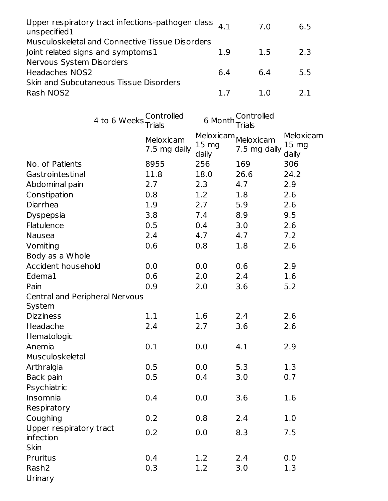| Upper respiratory tract infections-pathogen class $\begin{bmatrix} 4 & 1 \end{bmatrix}$<br>unspecified1 |     | 7 O | 6.5 |
|---------------------------------------------------------------------------------------------------------|-----|-----|-----|
| Musculoskeletal and Connective Tissue Disorders                                                         |     |     |     |
| Joint related signs and symptoms1                                                                       | 1.9 | 1.5 | 23  |
| Nervous System Disorders                                                                                |     |     |     |
| Headaches NOS2                                                                                          | 6.4 | 64  | 5.5 |
| Skin and Subcutaneous Tissue Disorders                                                                  |     |     |     |
| Rash NOS2                                                                                               | 17  | 1 O | 21  |

|                                                 | 4 to 6 Weeks | Controlled<br><b>Trials</b> | 6 Month                   | Controlled<br>Trials                |                             |
|-------------------------------------------------|--------------|-----------------------------|---------------------------|-------------------------------------|-----------------------------|
|                                                 |              | Meloxicam<br>7.5 mg daily   | 15 <sub>mg</sub><br>daily | Meloxicam Meloxicam<br>7.5 mg daily | Meloxicam<br>15 mg<br>daily |
| No. of Patients                                 |              | 8955                        | 256                       | 169                                 | 306                         |
| Gastrointestinal                                |              | 11.8                        | 18.0                      | 26.6                                | 24.2                        |
| Abdominal pain                                  |              | 2.7                         | 2.3                       | 4.7                                 | 2.9                         |
| Constipation                                    |              | 0.8                         | 1.2                       | 1.8                                 | 2.6                         |
| Diarrhea                                        |              | 1.9                         | 2.7                       | 5.9                                 | 2.6                         |
| <b>Dyspepsia</b>                                |              | 3.8                         | 7.4                       | 8.9                                 | 9.5                         |
| Flatulence                                      |              | 0.5                         | 0.4                       | 3.0                                 | 2.6                         |
| <b>Nausea</b>                                   |              | 2.4                         | 4.7                       | 4.7                                 | 7.2                         |
| Vomiting                                        |              | 0.6                         | 0.8                       | 1.8                                 | 2.6                         |
| Body as a Whole                                 |              |                             |                           |                                     |                             |
| Accident household                              |              | 0.0                         | 0.0                       | 0.6                                 | 2.9                         |
| Edema1                                          |              | 0.6                         | 2.0                       | 2.4                                 | 1.6                         |
| Pain                                            |              | 0.9                         | 2.0                       | 3.6                                 | 5.2                         |
| <b>Central and Peripheral Nervous</b><br>System |              |                             |                           |                                     |                             |
| <b>Dizziness</b>                                |              | 1.1                         | 1.6                       | 2.4                                 | 2.6                         |
| Headache                                        |              | 2.4                         | 2.7                       | 3.6                                 | 2.6                         |
| Hematologic                                     |              |                             |                           |                                     |                             |
| Anemia                                          |              | 0.1                         | 0.0                       | 4.1                                 | 2.9                         |
| Musculoskeletal                                 |              |                             |                           |                                     |                             |
| Arthralgia                                      |              | 0.5                         | 0.0                       | 5.3                                 | 1.3                         |
| Back pain                                       |              | 0.5                         | 0.4                       | 3.0                                 | 0.7                         |
| Psychiatric                                     |              |                             |                           |                                     |                             |
| Insomnia                                        |              | 0.4                         | 0.0                       | 3.6                                 | 1.6                         |
| Respiratory                                     |              |                             |                           |                                     |                             |
| Coughing                                        |              | 0.2                         | 0.8                       | 2.4                                 | 1.0                         |
| Upper respiratory tract<br>infection            |              | 0.2                         | 0.0                       | 8.3                                 | 7.5                         |
| <b>Skin</b>                                     |              |                             |                           |                                     |                             |
| Pruritus                                        |              | 0.4                         | 1.2                       | 2.4                                 | 0.0                         |
| Rash <sub>2</sub>                               |              | 0.3                         | 1.2                       | 3.0                                 | 1.3                         |
| Urinary                                         |              |                             |                           |                                     |                             |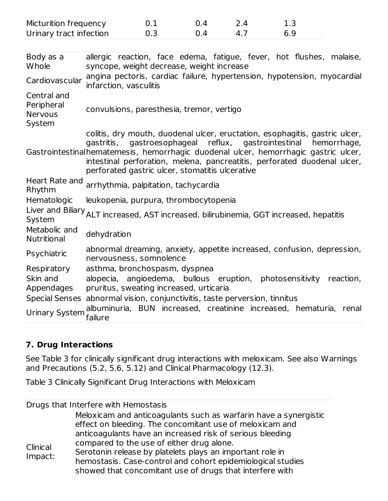| Micturition frequency                                                               |                                                                                                                                                                                                                          | 0.1                                                                                               | 0.4               | 2.4 | 1.3              |             |  |  |
|-------------------------------------------------------------------------------------|--------------------------------------------------------------------------------------------------------------------------------------------------------------------------------------------------------------------------|---------------------------------------------------------------------------------------------------|-------------------|-----|------------------|-------------|--|--|
| Urinary tract infection                                                             |                                                                                                                                                                                                                          | 0.3                                                                                               | 0.4               | 4.7 | 6.9              |             |  |  |
|                                                                                     |                                                                                                                                                                                                                          |                                                                                                   |                   |     |                  |             |  |  |
| Body as a<br>Whole                                                                  | allergic reaction, face edema, fatigue, fever, hot flushes, malaise,<br>syncope, weight decrease, weight increase                                                                                                        |                                                                                                   |                   |     |                  |             |  |  |
| Cardiovascular                                                                      |                                                                                                                                                                                                                          | angina pectoris, cardiac failure, hypertension, hypotension, myocardial<br>infarction, vasculitis |                   |     |                  |             |  |  |
| Central and<br>Peripheral<br><b>Nervous</b><br>System                               |                                                                                                                                                                                                                          | convulsions, paresthesia, tremor, vertigo                                                         |                   |     |                  |             |  |  |
| Gastrointestinalhematemesis, hemorrhagic duodenal ulcer, hemorrhagic gastric ulcer, | colitis, dry mouth, duodenal ulcer, eructation, esophagitis, gastric ulcer,<br>gastritis,<br>intestinal perforation, melena, pancreatitis, perforated duodenal ulcer,<br>perforated gastric ulcer, stomatitis ulcerative | gastroesophageal reflux, gastrointestinal                                                         |                   |     |                  | hemorrhage, |  |  |
| Heart Rate and<br>Rhythm                                                            | arrhythmia, palpitation, tachycardia                                                                                                                                                                                     |                                                                                                   |                   |     |                  |             |  |  |
| Hematologic                                                                         | leukopenia, purpura, thrombocytopenia                                                                                                                                                                                    |                                                                                                   |                   |     |                  |             |  |  |
| System                                                                              | Liver and Biliary ALT increased, AST increased, bilirubinemia, GGT increased, hepatitis                                                                                                                                  |                                                                                                   |                   |     |                  |             |  |  |
| Metabolic and<br>Nutritional                                                        | dehydration                                                                                                                                                                                                              |                                                                                                   |                   |     |                  |             |  |  |
| Psychiatric                                                                         | abnormal dreaming, anxiety, appetite increased, confusion, depression,<br>nervousness, somnolence                                                                                                                        |                                                                                                   |                   |     |                  |             |  |  |
| Respiratory                                                                         | asthma, bronchospasm, dyspnea                                                                                                                                                                                            |                                                                                                   |                   |     |                  |             |  |  |
| Skin and                                                                            | alopecia,                                                                                                                                                                                                                | angioedema,                                                                                       | bullous eruption, |     | photosensitivity | reaction,   |  |  |
| Appendages                                                                          | pruritus, sweating increased, urticaria                                                                                                                                                                                  |                                                                                                   |                   |     |                  |             |  |  |
| <b>Special Senses</b>                                                               | abnormal vision, conjunctivitis, taste perversion, tinnitus<br>albuminuria, BUN increased, creatinine increased, hematuria,                                                                                              |                                                                                                   |                   |     |                  |             |  |  |
| <b>Urinary System</b>                                                               | failure                                                                                                                                                                                                                  |                                                                                                   |                   |     |                  | renal       |  |  |

### **7. Drug Interactions**

See Table 3 for clinically significant drug interactions with meloxicam. See also Warnings and Precautions (5.2, 5.6, 5.12) and Clinical Pharmacology (12.3).

Table 3 Clinically Significant Drug Interactions with Meloxicam

|                     | Drugs that Interfere with Hemostasis                                                                                                                                                                                              |
|---------------------|-----------------------------------------------------------------------------------------------------------------------------------------------------------------------------------------------------------------------------------|
|                     | Meloxicam and anticoagulants such as warfarin have a synergistic<br>effect on bleeding. The concomitant use of meloxicam and<br>anticoagulants have an increased risk of serious bleeding                                         |
| Clinical<br>Impact: | compared to the use of either drug alone.<br>Serotonin release by platelets plays an important role in<br>hemostasis. Case-control and cohort epidemiological studies<br>showed that concomitant use of drugs that interfere with |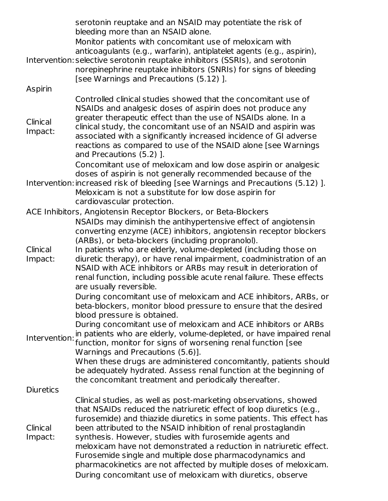| Monitor patients with concomitant use of meloxicam with<br>anticoagulants (e.g., warfarin), antiplatelet agents (e.g., aspirin),<br>Intervention: selective serotonin reuptake inhibitors (SSRIs), and serotonin<br>norepinephrine reuptake inhibitors (SNRIs) for signs of bleeding<br>Controlled clinical studies showed that the concomitant use of<br>NSAIDs and analgesic doses of aspirin does not produce any<br>greater therapeutic effect than the use of NSAIDs alone. In a<br>clinical study, the concomitant use of an NSAID and aspirin was<br>associated with a significantly increased incidence of GI adverse<br>reactions as compared to use of the NSAID alone [see Warnings<br>Concomitant use of meloxicam and low dose aspirin or analgesic<br>doses of aspirin is not generally recommended because of the<br>Intervention: increased risk of bleeding [see Warnings and Precautions (5.12)].<br>NSAIDs may diminish the antihypertensive effect of angiotensin<br>converting enzyme (ACE) inhibitors, angiotensin receptor blockers |
|------------------------------------------------------------------------------------------------------------------------------------------------------------------------------------------------------------------------------------------------------------------------------------------------------------------------------------------------------------------------------------------------------------------------------------------------------------------------------------------------------------------------------------------------------------------------------------------------------------------------------------------------------------------------------------------------------------------------------------------------------------------------------------------------------------------------------------------------------------------------------------------------------------------------------------------------------------------------------------------------------------------------------------------------------------|
|                                                                                                                                                                                                                                                                                                                                                                                                                                                                                                                                                                                                                                                                                                                                                                                                                                                                                                                                                                                                                                                            |
|                                                                                                                                                                                                                                                                                                                                                                                                                                                                                                                                                                                                                                                                                                                                                                                                                                                                                                                                                                                                                                                            |
|                                                                                                                                                                                                                                                                                                                                                                                                                                                                                                                                                                                                                                                                                                                                                                                                                                                                                                                                                                                                                                                            |
|                                                                                                                                                                                                                                                                                                                                                                                                                                                                                                                                                                                                                                                                                                                                                                                                                                                                                                                                                                                                                                                            |
|                                                                                                                                                                                                                                                                                                                                                                                                                                                                                                                                                                                                                                                                                                                                                                                                                                                                                                                                                                                                                                                            |
|                                                                                                                                                                                                                                                                                                                                                                                                                                                                                                                                                                                                                                                                                                                                                                                                                                                                                                                                                                                                                                                            |
| In patients who are elderly, volume-depleted (including those on                                                                                                                                                                                                                                                                                                                                                                                                                                                                                                                                                                                                                                                                                                                                                                                                                                                                                                                                                                                           |
| diuretic therapy), or have renal impairment, coadministration of an<br>NSAID with ACE inhibitors or ARBs may result in deterioration of<br>renal function, including possible acute renal failure. These effects                                                                                                                                                                                                                                                                                                                                                                                                                                                                                                                                                                                                                                                                                                                                                                                                                                           |
| During concomitant use of meloxicam and ACE inhibitors, ARBs, or<br>beta-blockers, monitor blood pressure to ensure that the desired<br>During concomitant use of meloxicam and ACE inhibitors or ARBs<br>in patients who are elderly, volume-depleted, or have impaired renal                                                                                                                                                                                                                                                                                                                                                                                                                                                                                                                                                                                                                                                                                                                                                                             |
| function, monitor for signs of worsening renal function [see<br>When these drugs are administered concomitantly, patients should<br>be adequately hydrated. Assess renal function at the beginning of<br>the concomitant treatment and periodically thereafter.                                                                                                                                                                                                                                                                                                                                                                                                                                                                                                                                                                                                                                                                                                                                                                                            |
|                                                                                                                                                                                                                                                                                                                                                                                                                                                                                                                                                                                                                                                                                                                                                                                                                                                                                                                                                                                                                                                            |
| Clinical studies, as well as post-marketing observations, showed<br>that NSAIDs reduced the natriuretic effect of loop diuretics (e.g.,<br>furosemide) and thiazide diuretics in some patients. This effect has<br>been attributed to the NSAID inhibition of renal prostaglandin<br>synthesis. However, studies with furosemide agents and<br>meloxicam have not demonstrated a reduction in natriuretic effect.<br>Furosemide single and multiple dose pharmacodynamics and<br>pharmacokinetics are not affected by multiple doses of meloxicam.                                                                                                                                                                                                                                                                                                                                                                                                                                                                                                         |
|                                                                                                                                                                                                                                                                                                                                                                                                                                                                                                                                                                                                                                                                                                                                                                                                                                                                                                                                                                                                                                                            |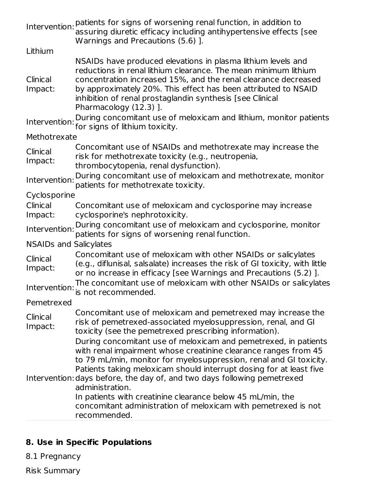| patients for signs of worsening renal function, in addition to<br>Intervention:<br>assuring diuretic efficacy including antihypertensive effects [see<br>Warnings and Precautions (5.6) ]. |                                                                                                                                                                                                                                                                                                                                                                                                                                                                                                                                |  |  |  |  |
|--------------------------------------------------------------------------------------------------------------------------------------------------------------------------------------------|--------------------------------------------------------------------------------------------------------------------------------------------------------------------------------------------------------------------------------------------------------------------------------------------------------------------------------------------------------------------------------------------------------------------------------------------------------------------------------------------------------------------------------|--|--|--|--|
| Lithium                                                                                                                                                                                    |                                                                                                                                                                                                                                                                                                                                                                                                                                                                                                                                |  |  |  |  |
| Clinical<br>Impact:                                                                                                                                                                        | NSAIDs have produced elevations in plasma lithium levels and<br>reductions in renal lithium clearance. The mean minimum lithium<br>concentration increased 15%, and the renal clearance decreased<br>by approximately 20%. This effect has been attributed to NSAID<br>inhibition of renal prostaglandin synthesis [see Clinical<br>Pharmacology (12.3) ].                                                                                                                                                                     |  |  |  |  |
| Intervention:                                                                                                                                                                              | During concomitant use of meloxicam and lithium, monitor patients<br>for signs of lithium toxicity.                                                                                                                                                                                                                                                                                                                                                                                                                            |  |  |  |  |
| Methotrexate                                                                                                                                                                               |                                                                                                                                                                                                                                                                                                                                                                                                                                                                                                                                |  |  |  |  |
| Clinical<br>Impact:                                                                                                                                                                        | Concomitant use of NSAIDs and methotrexate may increase the<br>risk for methotrexate toxicity (e.g., neutropenia,<br>thrombocytopenia, renal dysfunction).                                                                                                                                                                                                                                                                                                                                                                     |  |  |  |  |
| Intervention:                                                                                                                                                                              | During concomitant use of meloxicam and methotrexate, monitor<br>patients for methotrexate toxicity.                                                                                                                                                                                                                                                                                                                                                                                                                           |  |  |  |  |
| Cyclosporine                                                                                                                                                                               |                                                                                                                                                                                                                                                                                                                                                                                                                                                                                                                                |  |  |  |  |
| Clinical<br>Impact:                                                                                                                                                                        | Concomitant use of meloxicam and cyclosporine may increase<br>cyclosporine's nephrotoxicity.                                                                                                                                                                                                                                                                                                                                                                                                                                   |  |  |  |  |
| Intervention:                                                                                                                                                                              | During concomitant use of meloxicam and cyclosporine, monitor<br>patients for signs of worsening renal function.                                                                                                                                                                                                                                                                                                                                                                                                               |  |  |  |  |
| <b>NSAIDs and Salicylates</b>                                                                                                                                                              |                                                                                                                                                                                                                                                                                                                                                                                                                                                                                                                                |  |  |  |  |
| Clinical<br>Impact:                                                                                                                                                                        | Concomitant use of meloxicam with other NSAIDs or salicylates<br>(e.g., diflunisal, salsalate) increases the risk of GI toxicity, with little<br>or no increase in efficacy [see Warnings and Precautions (5.2) ].                                                                                                                                                                                                                                                                                                             |  |  |  |  |
| Intervention                                                                                                                                                                               | The concomitant use of meloxicam with other NSAIDs or salicylates<br>is not recommended.                                                                                                                                                                                                                                                                                                                                                                                                                                       |  |  |  |  |
| Pemetrexed                                                                                                                                                                                 |                                                                                                                                                                                                                                                                                                                                                                                                                                                                                                                                |  |  |  |  |
| Clinical<br>Impact:                                                                                                                                                                        | Concomitant use of meloxicam and pemetrexed may increase the<br>risk of pemetrexed-associated myelosuppression, renal, and GI<br>toxicity (see the pemetrexed prescribing information).                                                                                                                                                                                                                                                                                                                                        |  |  |  |  |
|                                                                                                                                                                                            | During concomitant use of meloxicam and pemetrexed, in patients<br>with renal impairment whose creatinine clearance ranges from 45<br>to 79 mL/min, monitor for myelosuppression, renal and GI toxicity.<br>Patients taking meloxicam should interrupt dosing for at least five<br>Intervention: days before, the day of, and two days following pemetrexed<br>administration.<br>In patients with creatinine clearance below 45 mL/min, the<br>concomitant administration of meloxicam with pemetrexed is not<br>recommended. |  |  |  |  |

# **8. Use in Specific Populations**

8.1 Pregnancy

Risk Summary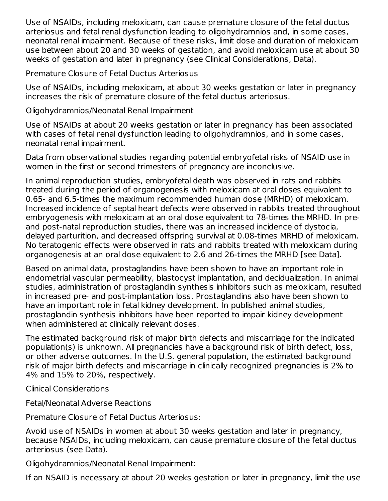Use of NSAIDs, including meloxicam, can cause premature closure of the fetal ductus arteriosus and fetal renal dysfunction leading to oligohydramnios and, in some cases, neonatal renal impairment. Because of these risks, limit dose and duration of meloxicam use between about 20 and 30 weeks of gestation, and avoid meloxicam use at about 30 weeks of gestation and later in pregnancy (see Clinical Considerations, Data).

Premature Closure of Fetal Ductus Arteriosus

Use of NSAIDs, including meloxicam, at about 30 weeks gestation or later in pregnancy increases the risk of premature closure of the fetal ductus arteriosus.

Oligohydramnios/Neonatal Renal Impairment

Use of NSAIDs at about 20 weeks gestation or later in pregnancy has been associated with cases of fetal renal dysfunction leading to oligohydramnios, and in some cases, neonatal renal impairment.

Data from observational studies regarding potential embryofetal risks of NSAID use in women in the first or second trimesters of pregnancy are inconclusive.

In animal reproduction studies, embryofetal death was observed in rats and rabbits treated during the period of organogenesis with meloxicam at oral doses equivalent to 0.65- and 6.5-times the maximum recommended human dose (MRHD) of meloxicam. Increased incidence of septal heart defects were observed in rabbits treated throughout embryogenesis with meloxicam at an oral dose equivalent to 78-times the MRHD. In preand post-natal reproduction studies, there was an increased incidence of dystocia, delayed parturition, and decreased offspring survival at 0.08-times MRHD of meloxicam. No teratogenic effects were observed in rats and rabbits treated with meloxicam during organogenesis at an oral dose equivalent to 2.6 and 26-times the MRHD [see Data].

Based on animal data, prostaglandins have been shown to have an important role in endometrial vascular permeability, blastocyst implantation, and decidualization. In animal studies, administration of prostaglandin synthesis inhibitors such as meloxicam, resulted in increased pre- and post-implantation loss. Prostaglandins also have been shown to have an important role in fetal kidney development. In published animal studies, prostaglandin synthesis inhibitors have been reported to impair kidney development when administered at clinically relevant doses.

The estimated background risk of major birth defects and miscarriage for the indicated population(s) is unknown. All pregnancies have a background risk of birth defect, loss, or other adverse outcomes. In the U.S. general population, the estimated background risk of major birth defects and miscarriage in clinically recognized pregnancies is 2% to 4% and 15% to 20%, respectively.

Clinical Considerations

Fetal/Neonatal Adverse Reactions

Premature Closure of Fetal Ductus Arteriosus:

Avoid use of NSAIDs in women at about 30 weeks gestation and later in pregnancy, because NSAIDs, including meloxicam, can cause premature closure of the fetal ductus arteriosus (see Data).

Oligohydramnios/Neonatal Renal Impairment:

If an NSAID is necessary at about 20 weeks gestation or later in pregnancy, limit the use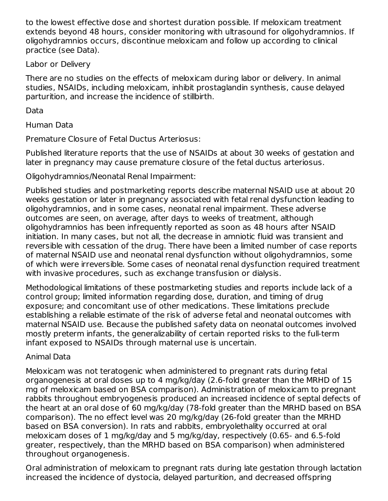to the lowest effective dose and shortest duration possible. If meloxicam treatment extends beyond 48 hours, consider monitoring with ultrasound for oligohydramnios. If oligohydramnios occurs, discontinue meloxicam and follow up according to clinical practice (see Data).

Labor or Delivery

There are no studies on the effects of meloxicam during labor or delivery. In animal studies, NSAIDs, including meloxicam, inhibit prostaglandin synthesis, cause delayed parturition, and increase the incidence of stillbirth.

Data

Human Data

Premature Closure of Fetal Ductus Arteriosus:

Published literature reports that the use of NSAIDs at about 30 weeks of gestation and later in pregnancy may cause premature closure of the fetal ductus arteriosus.

Oligohydramnios/Neonatal Renal Impairment:

Published studies and postmarketing reports describe maternal NSAID use at about 20 weeks gestation or later in pregnancy associated with fetal renal dysfunction leading to oligohydramnios, and in some cases, neonatal renal impairment. These adverse outcomes are seen, on average, after days to weeks of treatment, although oligohydramnios has been infrequently reported as soon as 48 hours after NSAID initiation. In many cases, but not all, the decrease in amniotic fluid was transient and reversible with cessation of the drug. There have been a limited number of case reports of maternal NSAID use and neonatal renal dysfunction without oligohydramnios, some of which were irreversible. Some cases of neonatal renal dysfunction required treatment with invasive procedures, such as exchange transfusion or dialysis.

Methodological limitations of these postmarketing studies and reports include lack of a control group; limited information regarding dose, duration, and timing of drug exposure; and concomitant use of other medications. These limitations preclude establishing a reliable estimate of the risk of adverse fetal and neonatal outcomes with maternal NSAID use. Because the published safety data on neonatal outcomes involved mostly preterm infants, the generalizability of certain reported risks to the full-term infant exposed to NSAIDs through maternal use is uncertain.

# Animal Data

Meloxicam was not teratogenic when administered to pregnant rats during fetal organogenesis at oral doses up to 4 mg/kg/day (2.6-fold greater than the MRHD of 15 mg of meloxicam based on BSA comparison). Administration of meloxicam to pregnant rabbits throughout embryogenesis produced an increased incidence of septal defects of the heart at an oral dose of 60 mg/kg/day (78-fold greater than the MRHD based on BSA comparison). The no effect level was 20 mg/kg/day (26-fold greater than the MRHD based on BSA conversion). In rats and rabbits, embryolethality occurred at oral meloxicam doses of 1 mg/kg/day and 5 mg/kg/day, respectively (0.65- and 6.5-fold greater, respectively, than the MRHD based on BSA comparison) when administered throughout organogenesis.

Oral administration of meloxicam to pregnant rats during late gestation through lactation increased the incidence of dystocia, delayed parturition, and decreased offspring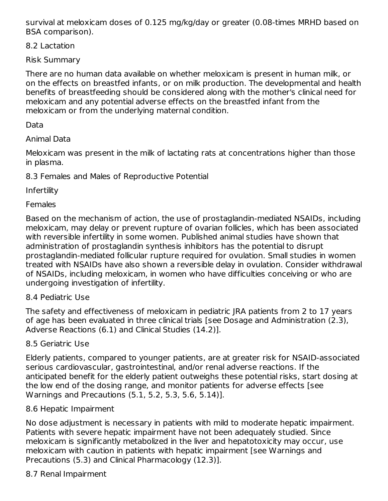survival at meloxicam doses of 0.125 mg/kg/day or greater (0.08-times MRHD based on BSA comparison).

8.2 Lactation

Risk Summary

There are no human data available on whether meloxicam is present in human milk, or on the effects on breastfed infants, or on milk production. The developmental and health benefits of breastfeeding should be considered along with the mother's clinical need for meloxicam and any potential adverse effects on the breastfed infant from the meloxicam or from the underlying maternal condition.

# Data

Animal Data

Meloxicam was present in the milk of lactating rats at concentrations higher than those in plasma.

8.3 Females and Males of Reproductive Potential

Infertility

# Females

Based on the mechanism of action, the use of prostaglandin-mediated NSAIDs, including meloxicam, may delay or prevent rupture of ovarian follicles, which has been associated with reversible infertility in some women. Published animal studies have shown that administration of prostaglandin synthesis inhibitors has the potential to disrupt prostaglandin-mediated follicular rupture required for ovulation. Small studies in women treated with NSAIDs have also shown a reversible delay in ovulation. Consider withdrawal of NSAIDs, including meloxicam, in women who have difficulties conceiving or who are undergoing investigation of infertility.

# 8.4 Pediatric Use

The safety and effectiveness of meloxicam in pediatric JRA patients from 2 to 17 years of age has been evaluated in three clinical trials [see Dosage and Administration (2.3), Adverse Reactions (6.1) and Clinical Studies (14.2)].

# 8.5 Geriatric Use

Elderly patients, compared to younger patients, are at greater risk for NSAID-associated serious cardiovascular, gastrointestinal, and/or renal adverse reactions. If the anticipated benefit for the elderly patient outweighs these potential risks, start dosing at the low end of the dosing range, and monitor patients for adverse effects [see Warnings and Precautions (5.1, 5.2, 5.3, 5.6, 5.14)].

# 8.6 Hepatic Impairment

No dose adjustment is necessary in patients with mild to moderate hepatic impairment. Patients with severe hepatic impairment have not been adequately studied. Since meloxicam is significantly metabolized in the liver and hepatotoxicity may occur, use meloxicam with caution in patients with hepatic impairment [see Warnings and Precautions (5.3) and Clinical Pharmacology (12.3)].

# 8.7 Renal Impairment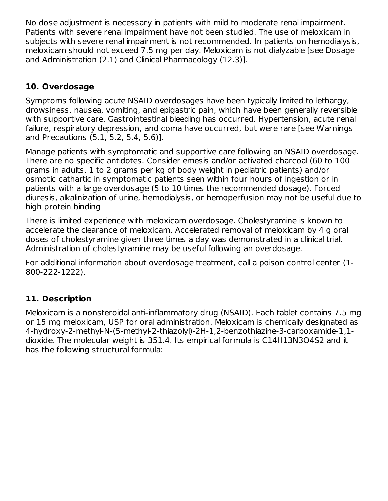No dose adjustment is necessary in patients with mild to moderate renal impairment. Patients with severe renal impairment have not been studied. The use of meloxicam in subjects with severe renal impairment is not recommended. In patients on hemodialysis, meloxicam should not exceed 7.5 mg per day. Meloxicam is not dialyzable [see Dosage and Administration (2.1) and Clinical Pharmacology (12.3)].

# **10. Overdosage**

Symptoms following acute NSAID overdosages have been typically limited to lethargy, drowsiness, nausea, vomiting, and epigastric pain, which have been generally reversible with supportive care. Gastrointestinal bleeding has occurred. Hypertension, acute renal failure, respiratory depression, and coma have occurred, but were rare [see Warnings and Precautions (5.1, 5.2, 5.4, 5.6)].

Manage patients with symptomatic and supportive care following an NSAID overdosage. There are no specific antidotes. Consider emesis and/or activated charcoal (60 to 100 grams in adults, 1 to 2 grams per kg of body weight in pediatric patients) and/or osmotic cathartic in symptomatic patients seen within four hours of ingestion or in patients with a large overdosage (5 to 10 times the recommended dosage). Forced diuresis, alkalinization of urine, hemodialysis, or hemoperfusion may not be useful due to high protein binding

There is limited experience with meloxicam overdosage. Cholestyramine is known to accelerate the clearance of meloxicam. Accelerated removal of meloxicam by 4 g oral doses of cholestyramine given three times a day was demonstrated in a clinical trial. Administration of cholestyramine may be useful following an overdosage.

For additional information about overdosage treatment, call a poison control center (1- 800-222-1222).

# **11. Description**

Meloxicam is a nonsteroidal anti-inflammatory drug (NSAID). Each tablet contains 7.5 mg or 15 mg meloxicam, USP for oral administration. Meloxicam is chemically designated as 4-hydroxy-2-methyl-N-(5-methyl-2-thiazolyl)-2H-1,2-benzothiazine-3-carboxamide-1,1 dioxide. The molecular weight is 351.4. Its empirical formula is C14H13N3O4S2 and it has the following structural formula: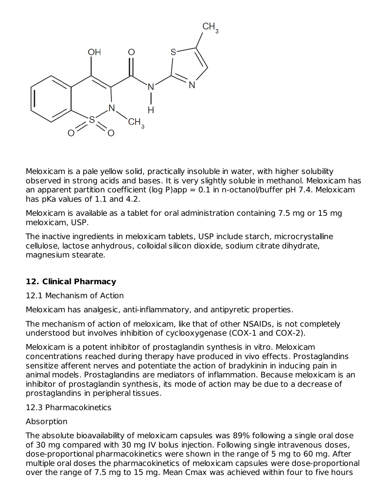

Meloxicam is a pale yellow solid, practically insoluble in water, with higher solubility observed in strong acids and bases. It is very slightly soluble in methanol. Meloxicam has an apparent partition coefficient (log P)app =  $0.1$  in n-octanol/buffer pH 7.4. Meloxicam has pKa values of 1.1 and 4.2.

Meloxicam is available as a tablet for oral administration containing 7.5 mg or 15 mg meloxicam, USP.

The inactive ingredients in meloxicam tablets, USP include starch, microcrystalline cellulose, lactose anhydrous, colloidal silicon dioxide, sodium citrate dihydrate, magnesium stearate.

# **12. Clinical Pharmacy**

12.1 Mechanism of Action

Meloxicam has analgesic, anti-inflammatory, and antipyretic properties.

The mechanism of action of meloxicam, like that of other NSAIDs, is not completely understood but involves inhibition of cyclooxygenase (COX-1 and COX-2).

Meloxicam is a potent inhibitor of prostaglandin synthesis in vitro. Meloxicam concentrations reached during therapy have produced in vivo effects. Prostaglandins sensitize afferent nerves and potentiate the action of bradykinin in inducing pain in animal models. Prostaglandins are mediators of inflammation. Because meloxicam is an inhibitor of prostaglandin synthesis, its mode of action may be due to a decrease of prostaglandins in peripheral tissues.

# 12.3 Pharmacokinetics

# Absorption

The absolute bioavailability of meloxicam capsules was 89% following a single oral dose of 30 mg compared with 30 mg IV bolus injection. Following single intravenous doses, dose-proportional pharmacokinetics were shown in the range of 5 mg to 60 mg. After multiple oral doses the pharmacokinetics of meloxicam capsules were dose-proportional over the range of 7.5 mg to 15 mg. Mean Cmax was achieved within four to five hours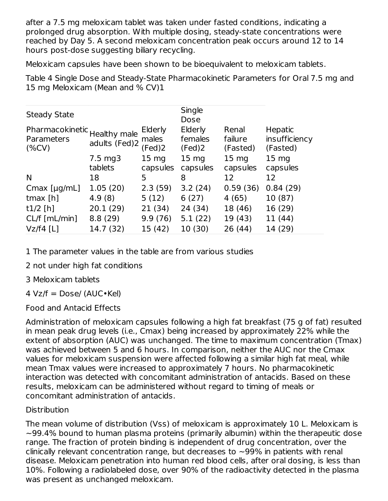after a 7.5 mg meloxicam tablet was taken under fasted conditions, indicating a prolonged drug absorption. With multiple dosing, steady-state concentrations were reached by Day 5. A second meloxicam concentration peak occurs around 12 to 14 hours post-dose suggesting biliary recycling.

Meloxicam capsules have been shown to be bioequivalent to meloxicam tablets.

Table 4 Single Dose and Steady-State Pharmacokinetic Parameters for Oral 7.5 mg and 15 mg Meloxicam (Mean and % CV)1

| <b>Steady State</b>                                    |                             |                             | Single<br>Dose               |                              |                                      |
|--------------------------------------------------------|-----------------------------|-----------------------------|------------------------------|------------------------------|--------------------------------------|
| Pharmacokinetic Healthy male<br>Parameters<br>$(\%CV)$ | adults (Fed)2               | Elderly<br>males<br>(Fed)2  | Elderly<br>females<br>(Fed)2 | Renal<br>failure<br>(Fasted) | Hepatic<br>insufficiency<br>(Fasted) |
|                                                        | $7.5 \text{ mg}$<br>tablets | $15 \text{ mg}$<br>capsules | 15 <sub>mg</sub><br>capsules | 15 <sub>mg</sub><br>capsules | 15 <sub>mg</sub><br>capsules         |
| N                                                      | 18                          | 5                           | 8                            | 12                           | 12                                   |
| Cmax $[\mu g/mL]$                                      | 1.05(20)                    | 2.3(59)                     | 3.2(24)                      | 0.59(36)                     | 0.84(29)                             |
| $t$ max $[h]$                                          | 4.9(8)                      | 5(12)                       | 6(27)                        | 4(65)                        | 10 (87)                              |
| $t1/2$ [h]                                             | 20.1(29)                    | 21 (34)                     | 24 (34)                      | 18 (46)                      | 16 (29)                              |
| $CL/f$ [mL/min]                                        | 8.8(29)                     | 9.9(76)                     | 5.1(22)                      | 19 (43)                      | 11 (44)                              |
| $Vz/f4$ [L]                                            | 14.7 (32)                   | 15 (42)                     | 10 (30)                      | 26 (44)                      | 14 (29)                              |

1 The parameter values in the table are from various studies

2 not under high fat conditions

3 Meloxicam tablets

 $4 \text{ Vz/f} = \text{Dose/} (\text{AUC} \cdot \text{Kel})$ 

Food and Antacid Effects

Administration of meloxicam capsules following a high fat breakfast (75 g of fat) resulted in mean peak drug levels (i.e., Cmax) being increased by approximately 22% while the extent of absorption (AUC) was unchanged. The time to maximum concentration (Tmax) was achieved between 5 and 6 hours. In comparison, neither the AUC nor the Cmax values for meloxicam suspension were affected following a similar high fat meal, while mean Tmax values were increased to approximately 7 hours. No pharmacokinetic interaction was detected with concomitant administration of antacids. Based on these results, meloxicam can be administered without regard to timing of meals or concomitant administration of antacids.

# **Distribution**

The mean volume of distribution (Vss) of meloxicam is approximately 10 L. Meloxicam is  $\sim$ 99.4% bound to human plasma proteins (primarily albumin) within the therapeutic dose range. The fraction of protein binding is independent of drug concentration, over the clinically relevant concentration range, but decreases to  $\sim$ 99% in patients with renal disease. Meloxicam penetration into human red blood cells, after oral dosing, is less than 10%. Following a radiolabeled dose, over 90% of the radioactivity detected in the plasma was present as unchanged meloxicam.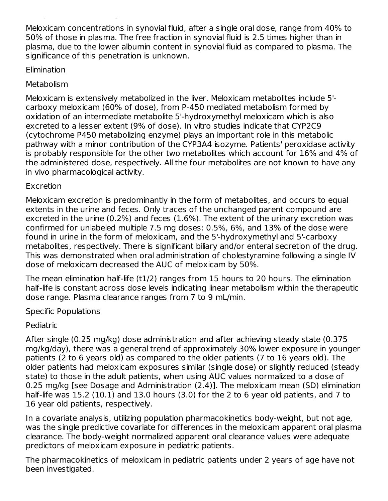Meloxicam concentrations in synovial fluid, after a single oral dose, range from 40% to 50% of those in plasma. The free fraction in synovial fluid is 2.5 times higher than in plasma, due to the lower albumin content in synovial fluid as compared to plasma. The significance of this penetration is unknown.

Elimination

was present as unchanged meloxicam.

### **Metabolism**

Meloxicam is extensively metabolized in the liver. Meloxicam metabolites include 5' carboxy meloxicam (60% of dose), from P-450 mediated metabolism formed by oxidation of an intermediate metabolite 5'-hydroxymethyl meloxicam which is also excreted to a lesser extent (9% of dose). In vitro studies indicate that CYP2C9 (cytochrome P450 metabolizing enzyme) plays an important role in this metabolic pathway with a minor contribution of the CYP3A4 isozyme. Patients' peroxidase activity is probably responsible for the other two metabolites which account for 16% and 4% of the administered dose, respectively. All the four metabolites are not known to have any in vivo pharmacological activity.

### Excretion

Meloxicam excretion is predominantly in the form of metabolites, and occurs to equal extents in the urine and feces. Only traces of the unchanged parent compound are excreted in the urine (0.2%) and feces (1.6%). The extent of the urinary excretion was confirmed for unlabeled multiple 7.5 mg doses: 0.5%, 6%, and 13% of the dose were found in urine in the form of meloxicam, and the 5'-hydroxymethyl and 5'-carboxy metabolites, respectively. There is significant biliary and/or enteral secretion of the drug. This was demonstrated when oral administration of cholestyramine following a single IV dose of meloxicam decreased the AUC of meloxicam by 50%.

The mean elimination half-life (t1/2) ranges from 15 hours to 20 hours. The elimination half-life is constant across dose levels indicating linear metabolism within the therapeutic dose range. Plasma clearance ranges from 7 to 9 mL/min.

### Specific Populations

# Pediatric

After single (0.25 mg/kg) dose administration and after achieving steady state (0.375 mg/kg/day), there was a general trend of approximately 30% lower exposure in younger patients (2 to 6 years old) as compared to the older patients (7 to 16 years old). The older patients had meloxicam exposures similar (single dose) or slightly reduced (steady state) to those in the adult patients, when using AUC values normalized to a dose of 0.25 mg/kg [see Dosage and Administration (2.4)]. The meloxicam mean (SD) elimination half-life was 15.2 (10.1) and 13.0 hours (3.0) for the 2 to 6 year old patients, and 7 to 16 year old patients, respectively.

In a covariate analysis, utilizing population pharmacokinetics body-weight, but not age, was the single predictive covariate for differences in the meloxicam apparent oral plasma clearance. The body-weight normalized apparent oral clearance values were adequate predictors of meloxicam exposure in pediatric patients.

The pharmacokinetics of meloxicam in pediatric patients under 2 years of age have not been investigated.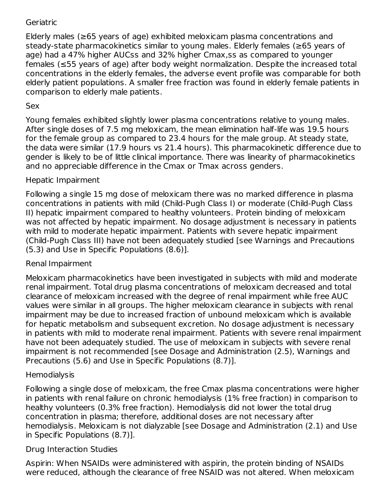### Geriatric

Elderly males (≥65 years of age) exhibited meloxicam plasma concentrations and steady-state pharmacokinetics similar to young males. Elderly females (≥65 years of age) had a 47% higher AUCss and 32% higher Cmax,ss as compared to younger females (≤55 years of age) after body weight normalization. Despite the increased total concentrations in the elderly females, the adverse event profile was comparable for both elderly patient populations. A smaller free fraction was found in elderly female patients in comparison to elderly male patients.

### Sex

Young females exhibited slightly lower plasma concentrations relative to young males. After single doses of 7.5 mg meloxicam, the mean elimination half-life was 19.5 hours for the female group as compared to 23.4 hours for the male group. At steady state, the data were similar (17.9 hours vs 21.4 hours). This pharmacokinetic difference due to gender is likely to be of little clinical importance. There was linearity of pharmacokinetics and no appreciable difference in the Cmax or Tmax across genders.

### Hepatic Impairment

Following a single 15 mg dose of meloxicam there was no marked difference in plasma concentrations in patients with mild (Child-Pugh Class I) or moderate (Child-Pugh Class II) hepatic impairment compared to healthy volunteers. Protein binding of meloxicam was not affected by hepatic impairment. No dosage adjustment is necessary in patients with mild to moderate hepatic impairment. Patients with severe hepatic impairment (Child-Pugh Class III) have not been adequately studied [see Warnings and Precautions (5.3) and Use in Specific Populations (8.6)].

### Renal Impairment

Meloxicam pharmacokinetics have been investigated in subjects with mild and moderate renal impairment. Total drug plasma concentrations of meloxicam decreased and total clearance of meloxicam increased with the degree of renal impairment while free AUC values were similar in all groups. The higher meloxicam clearance in subjects with renal impairment may be due to increased fraction of unbound meloxicam which is available for hepatic metabolism and subsequent excretion. No dosage adjustment is necessary in patients with mild to moderate renal impairment. Patients with severe renal impairment have not been adequately studied. The use of meloxicam in subjects with severe renal impairment is not recommended [see Dosage and Administration (2.5), Warnings and Precautions (5.6) and Use in Specific Populations (8.7)].

### **Hemodialysis**

Following a single dose of meloxicam, the free Cmax plasma concentrations were higher in patients with renal failure on chronic hemodialysis (1% free fraction) in comparison to healthy volunteers (0.3% free fraction). Hemodialysis did not lower the total drug concentration in plasma; therefore, additional doses are not necessary after hemodialysis. Meloxicam is not dialyzable [see Dosage and Administration (2.1) and Use in Specific Populations (8.7)].

### Drug Interaction Studies

Aspirin: When NSAIDs were administered with aspirin, the protein binding of NSAIDs were reduced, although the clearance of free NSAID was not altered. When meloxicam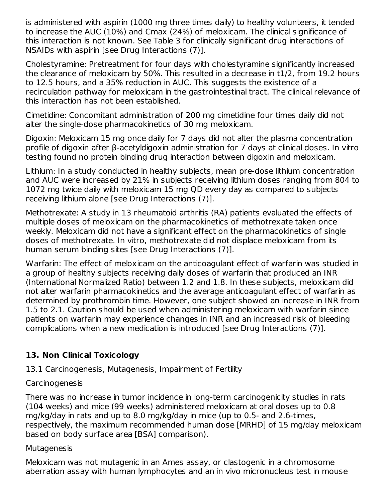is administered with aspirin (1000 mg three times daily) to healthy volunteers, it tended to increase the AUC (10%) and Cmax (24%) of meloxicam. The clinical significance of this interaction is not known. See Table 3 for clinically significant drug interactions of NSAIDs with aspirin [see Drug Interactions (7)].

Cholestyramine: Pretreatment for four days with cholestyramine significantly increased the clearance of meloxicam by 50%. This resulted in a decrease in t1/2, from 19.2 hours to 12.5 hours, and a 35% reduction in AUC. This suggests the existence of a recirculation pathway for meloxicam in the gastrointestinal tract. The clinical relevance of this interaction has not been established.

Cimetidine: Concomitant administration of 200 mg cimetidine four times daily did not alter the single-dose pharmacokinetics of 30 mg meloxicam.

Digoxin: Meloxicam 15 mg once daily for 7 days did not alter the plasma concentration profile of digoxin after β-acetyldigoxin administration for 7 days at clinical doses. In vitro testing found no protein binding drug interaction between digoxin and meloxicam.

Lithium: In a study conducted in healthy subjects, mean pre-dose lithium concentration and AUC were increased by 21% in subjects receiving lithium doses ranging from 804 to 1072 mg twice daily with meloxicam 15 mg QD every day as compared to subjects receiving lithium alone [see Drug Interactions (7)].

Methotrexate: A study in 13 rheumatoid arthritis (RA) patients evaluated the effects of multiple doses of meloxicam on the pharmacokinetics of methotrexate taken once weekly. Meloxicam did not have a significant effect on the pharmacokinetics of single doses of methotrexate. In vitro, methotrexate did not displace meloxicam from its human serum binding sites [see Drug Interactions (7)].

Warfarin: The effect of meloxicam on the anticoagulant effect of warfarin was studied in a group of healthy subjects receiving daily doses of warfarin that produced an INR (International Normalized Ratio) between 1.2 and 1.8. In these subjects, meloxicam did not alter warfarin pharmacokinetics and the average anticoagulant effect of warfarin as determined by prothrombin time. However, one subject showed an increase in INR from 1.5 to 2.1. Caution should be used when administering meloxicam with warfarin since patients on warfarin may experience changes in INR and an increased risk of bleeding complications when a new medication is introduced [see Drug Interactions (7)].

# **13. Non Clinical Toxicology**

13.1 Carcinogenesis, Mutagenesis, Impairment of Fertility

### Carcinogenesis

There was no increase in tumor incidence in long-term carcinogenicity studies in rats (104 weeks) and mice (99 weeks) administered meloxicam at oral doses up to 0.8 mg/kg/day in rats and up to 8.0 mg/kg/day in mice (up to 0.5- and 2.6-times, respectively, the maximum recommended human dose [MRHD] of 15 mg/day meloxicam based on body surface area [BSA] comparison).

### **Mutagenesis**

Meloxicam was not mutagenic in an Ames assay, or clastogenic in a chromosome aberration assay with human lymphocytes and an in vivo micronucleus test in mouse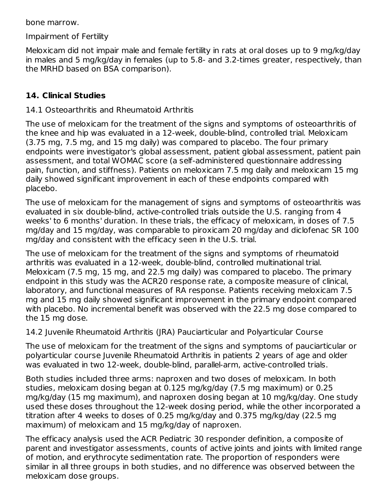bone marrow.

Impairment of Fertility

Meloxicam did not impair male and female fertility in rats at oral doses up to 9 mg/kg/day in males and 5 mg/kg/day in females (up to 5.8- and 3.2-times greater, respectively, than the MRHD based on BSA comparison).

### **14. Clinical Studies**

### 14.1 Osteoarthritis and Rheumatoid Arthritis

The use of meloxicam for the treatment of the signs and symptoms of osteoarthritis of the knee and hip was evaluated in a 12-week, double-blind, controlled trial. Meloxicam (3.75 mg, 7.5 mg, and 15 mg daily) was compared to placebo. The four primary endpoints were investigator's global assessment, patient global assessment, patient pain assessment, and total WOMAC score (a self-administered questionnaire addressing pain, function, and stiffness). Patients on meloxicam 7.5 mg daily and meloxicam 15 mg daily showed significant improvement in each of these endpoints compared with placebo.

The use of meloxicam for the management of signs and symptoms of osteoarthritis was evaluated in six double-blind, active-controlled trials outside the U.S. ranging from 4 weeks' to 6 months' duration. In these trials, the efficacy of meloxicam, in doses of 7.5 mg/day and 15 mg/day, was comparable to piroxicam 20 mg/day and diclofenac SR 100 mg/day and consistent with the efficacy seen in the U.S. trial.

The use of meloxicam for the treatment of the signs and symptoms of rheumatoid arthritis was evaluated in a 12-week, double-blind, controlled multinational trial. Meloxicam (7.5 mg, 15 mg, and 22.5 mg daily) was compared to placebo. The primary endpoint in this study was the ACR20 response rate, a composite measure of clinical, laboratory, and functional measures of RA response. Patients receiving meloxicam 7.5 mg and 15 mg daily showed significant improvement in the primary endpoint compared with placebo. No incremental benefit was observed with the 22.5 mg dose compared to the 15 mg dose.

14.2 Juvenile Rheumatoid Arthritis (JRA) Pauciarticular and Polyarticular Course

The use of meloxicam for the treatment of the signs and symptoms of pauciarticular or polyarticular course Juvenile Rheumatoid Arthritis in patients 2 years of age and older was evaluated in two 12-week, double-blind, parallel-arm, active-controlled trials.

Both studies included three arms: naproxen and two doses of meloxicam. In both studies, meloxicam dosing began at 0.125 mg/kg/day (7.5 mg maximum) or 0.25 mg/kg/day (15 mg maximum), and naproxen dosing began at 10 mg/kg/day. One study used these doses throughout the 12-week dosing period, while the other incorporated a titration after 4 weeks to doses of 0.25 mg/kg/day and 0.375 mg/kg/day (22.5 mg maximum) of meloxicam and 15 mg/kg/day of naproxen.

The efficacy analysis used the ACR Pediatric 30 responder definition, a composite of parent and investigator assessments, counts of active joints and joints with limited range of motion, and erythrocyte sedimentation rate. The proportion of responders were similar in all three groups in both studies, and no difference was observed between the meloxicam dose groups.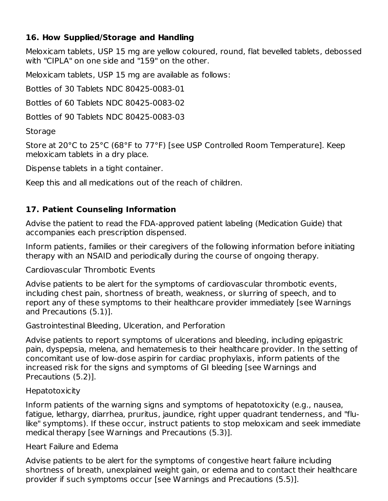# **16. How Supplied/Storage and Handling**

Meloxicam tablets, USP 15 mg are yellow coloured, round, flat bevelled tablets, debossed with "CIPLA" on one side and "159" on the other.

Meloxicam tablets, USP 15 mg are available as follows:

Bottles of 30 Tablets NDC 80425-0083-01

Bottles of 60 Tablets NDC 80425-0083-02

Bottles of 90 Tablets NDC 80425-0083-03

Storage

Store at 20°C to 25°C (68°F to 77°F) [see USP Controlled Room Temperature]. Keep meloxicam tablets in a dry place.

Dispense tablets in a tight container.

Keep this and all medications out of the reach of children.

# **17. Patient Counseling Information**

Advise the patient to read the FDA-approved patient labeling (Medication Guide) that accompanies each prescription dispensed.

Inform patients, families or their caregivers of the following information before initiating therapy with an NSAID and periodically during the course of ongoing therapy.

Cardiovascular Thrombotic Events

Advise patients to be alert for the symptoms of cardiovascular thrombotic events, including chest pain, shortness of breath, weakness, or slurring of speech, and to report any of these symptoms to their healthcare provider immediately [see Warnings and Precautions (5.1)].

Gastrointestinal Bleeding, Ulceration, and Perforation

Advise patients to report symptoms of ulcerations and bleeding, including epigastric pain, dyspepsia, melena, and hematemesis to their healthcare provider. In the setting of concomitant use of low-dose aspirin for cardiac prophylaxis, inform patients of the increased risk for the signs and symptoms of GI bleeding [see Warnings and Precautions (5.2)].

### **Hepatotoxicity**

Inform patients of the warning signs and symptoms of hepatotoxicity (e.g., nausea, fatigue, lethargy, diarrhea, pruritus, jaundice, right upper quadrant tenderness, and "flulike" symptoms). If these occur, instruct patients to stop meloxicam and seek immediate medical therapy [see Warnings and Precautions (5.3)].

#### Heart Failure and Edema

Advise patients to be alert for the symptoms of congestive heart failure including shortness of breath, unexplained weight gain, or edema and to contact their healthcare provider if such symptoms occur [see Warnings and Precautions (5.5)].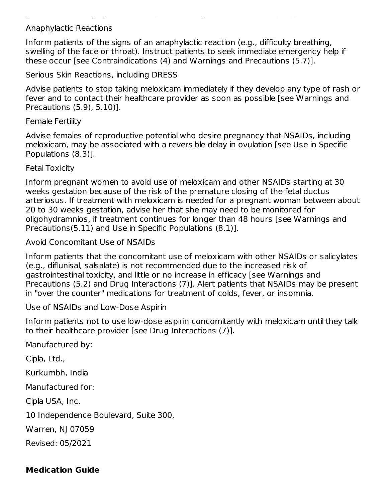#### Anaphylactic Reactions

Inform patients of the signs of an anaphylactic reaction (e.g., difficulty breathing, swelling of the face or throat). Instruct patients to seek immediate emergency help if these occur [see Contraindications (4) and Warnings and Precautions (5.7)].

provider if such symptoms occur [see Warnings and Precautions (5.5)].

Serious Skin Reactions, including DRESS

Advise patients to stop taking meloxicam immediately if they develop any type of rash or fever and to contact their healthcare provider as soon as possible [see Warnings and Precautions (5.9), 5.10)].

Female Fertility

Advise females of reproductive potential who desire pregnancy that NSAIDs, including meloxicam, may be associated with a reversible delay in ovulation [see Use in Specific Populations (8.3)].

#### Fetal Toxicity

Inform pregnant women to avoid use of meloxicam and other NSAIDs starting at 30 weeks gestation because of the risk of the premature closing of the fetal ductus arteriosus. If treatment with meloxicam is needed for a pregnant woman between about 20 to 30 weeks gestation, advise her that she may need to be monitored for oligohydramnios, if treatment continues for longer than 48 hours [see Warnings and Precautions(5.11) and Use in Specific Populations (8.1)].

Avoid Concomitant Use of NSAIDs

Inform patients that the concomitant use of meloxicam with other NSAIDs or salicylates (e.g., diflunisal, salsalate) is not recommended due to the increased risk of gastrointestinal toxicity, and little or no increase in efficacy [see Warnings and Precautions (5.2) and Drug Interactions (7)]. Alert patients that NSAIDs may be present in "over the counter" medications for treatment of colds, fever, or insomnia.

Use of NSAIDs and Low-Dose Aspirin

Inform patients not to use low-dose aspirin concomitantly with meloxicam until they talk to their healthcare provider [see Drug Interactions (7)].

Manufactured by:

Cipla, Ltd.,

Kurkumbh, India

Manufactured for:

Cipla USA, Inc.

10 Independence Boulevard, Suite 300,

Warren, NJ 07059

Revised: 05/2021

#### **Medication Guide**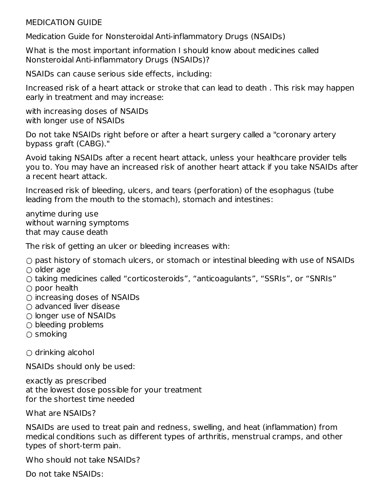#### MEDICATION GUIDE

Medication Guide for Nonsteroidal Anti-inflammatory Drugs (NSAIDs)

What is the most important information I should know about medicines called Nonsteroidal Anti-inflammatory Drugs (NSAIDs)?

NSAIDs can cause serious side effects, including:

Increased risk of a heart attack or stroke that can lead to death . This risk may happen early in treatment and may increase:

with increasing doses of NSAIDs with longer use of NSAIDs

Do not take NSAIDs right before or after a heart surgery called a "coronary artery bypass graft (CABG)."

Avoid taking NSAIDs after a recent heart attack, unless your healthcare provider tells you to. You may have an increased risk of another heart attack if you take NSAIDs after a recent heart attack.

Increased risk of bleeding, ulcers, and tears (perforation) of the esophagus (tube leading from the mouth to the stomach), stomach and intestines:

anytime during use without warning symptoms that may cause death

The risk of getting an ulcer or bleeding increases with:

○ past history of stomach ulcers, or stomach or intestinal bleeding with use of NSAIDs ○ older age

- taking medicines called "corticosteroids", "anticoagulants", "SSRIs", or "SNRIs"
- $\circ$  poor health
- $\bigcirc$  increasing doses of NSAIDs
- $\bigcirc$  advanced liver disease
- longer use of NSAIDs
- $\circlearrowright$  bleeding problems
- $\bigcirc$  smoking

 $\bigcirc$  drinking alcohol

NSAIDs should only be used:

exactly as prescribed at the lowest dose possible for your treatment for the shortest time needed

What are NSAIDs?

NSAIDs are used to treat pain and redness, swelling, and heat (inflammation) from medical conditions such as different types of arthritis, menstrual cramps, and other types of short-term pain.

Who should not take NSAIDs?

Do not take NSAIDs: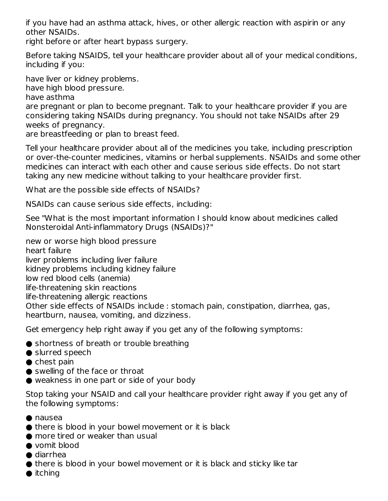if you have had an asthma attack, hives, or other allergic reaction with aspirin or any other NSAIDs.

right before or after heart bypass surgery.

Before taking NSAIDS, tell your healthcare provider about all of your medical conditions, including if you:

have liver or kidney problems. have high blood pressure. have asthma are pregnant or plan to become pregnant. Talk to your healthcare provider if you are considering taking NSAIDs during pregnancy. You should not take NSAIDs after 29 weeks of pregnancy.

are breastfeeding or plan to breast feed.

Tell your healthcare provider about all of the medicines you take, including prescription or over-the-counter medicines, vitamins or herbal supplements. NSAIDs and some other medicines can interact with each other and cause serious side effects. Do not start taking any new medicine without talking to your healthcare provider first.

What are the possible side effects of NSAIDs?

NSAIDs can cause serious side effects, including:

See "What is the most important information I should know about medicines called Nonsteroidal Anti-inflammatory Drugs (NSAIDs)?"

new or worse high blood pressure heart failure liver problems including liver failure kidney problems including kidney failure low red blood cells (anemia) life-threatening skin reactions life-threatening allergic reactions Other side effects of NSAIDs include : stomach pain, constipation, diarrhea, gas, heartburn, nausea, vomiting, and dizziness.

Get emergency help right away if you get any of the following symptoms:

- shortness of breath or trouble breathing
- slurred speech
- chest pain
- swelling of the face or throat
- weakness in one part or side of your body

Stop taking your NSAID and call your healthcare provider right away if you get any of the following symptoms:

- nausea
- $\bullet$  there is blood in your bowel movement or it is black
- more tired or weaker than usual
- vomit blood
- diarrhea
- there is blood in your bowel movement or it is black and sticky like tar
- $\bullet$  itching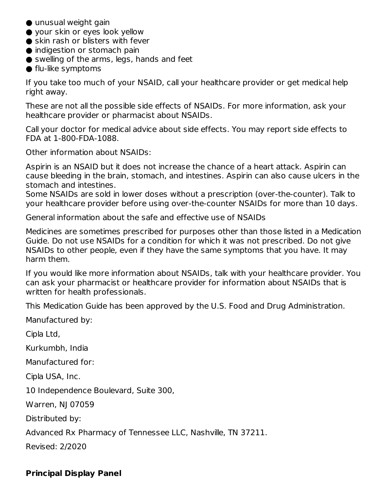- unusual weight gain
- your skin or eyes look yellow
- skin rash or blisters with fever
- indigestion or stomach pain
- swelling of the arms, legs, hands and feet
- flu-like symptoms

If you take too much of your NSAID, call your healthcare provider or get medical help right away.

These are not all the possible side effects of NSAIDs. For more information, ask your healthcare provider or pharmacist about NSAIDs.

Call your doctor for medical advice about side effects. You may report side effects to FDA at 1-800-FDA-1088.

Other information about NSAIDs:

Aspirin is an NSAID but it does not increase the chance of a heart attack. Aspirin can cause bleeding in the brain, stomach, and intestines. Aspirin can also cause ulcers in the stomach and intestines.

Some NSAIDs are sold in lower doses without a prescription (over-the-counter). Talk to your healthcare provider before using over-the-counter NSAIDs for more than 10 days.

General information about the safe and effective use of NSAIDs

Medicines are sometimes prescribed for purposes other than those listed in a Medication Guide. Do not use NSAIDs for a condition for which it was not prescribed. Do not give NSAIDs to other people, even if they have the same symptoms that you have. It may harm them.

If you would like more information about NSAIDs, talk with your healthcare provider. You can ask your pharmacist or healthcare provider for information about NSAIDs that is written for health professionals.

This Medication Guide has been approved by the U.S. Food and Drug Administration.

Manufactured by:

Cipla Ltd,

Kurkumbh, India

Manufactured for:

Cipla USA, Inc.

10 Independence Boulevard, Suite 300,

Warren, NJ 07059

Distributed by:

Advanced Rx Pharmacy of Tennessee LLC, Nashville, TN 37211.

Revised: 2/2020

### **Principal Display Panel**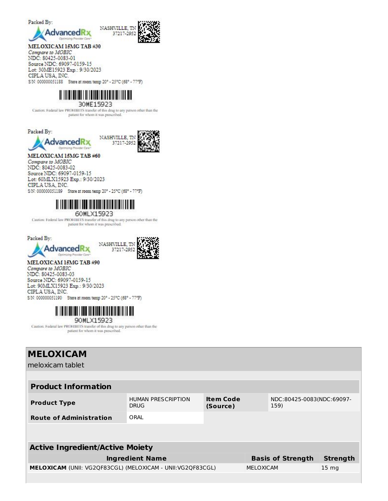

MELOXICAM 15MG TAB #30 Compare to MOBIC

NDC: 80425-0083-01 Source NDC: 69097-0159-15<br>Lot: 30ME15923 Exp.: 9/30/2023 CIPLA USA, INC. S/N: 000000051188 Store at room temp 20° - 25°C (68° - 77°F)



30ME15923

Caution: Federal law PROHIBITS transfer of this drug to any person other than the patient for whom it was prescribed.





MELOXICAM 15MG TAB #60 Compare to MOBIC NDC: 80425-0083-02<br>Source NDC: 69097-0159-15 Lot: 60MLX15923 Exp.: 9/30/2023 CIPLA USA, INC. S/N: 000000051189 Store at room temp 20° - 25°C (68° - 77°F)



Caution: Federal law PROHIBITS transfer of this drug to any person other than the patient for whom it was prescribed.

Packed By:



MELOXICAM 15MG TAB #90 Compare to MOBIC NDC: 80425-0083-03<br>Source NDC: 69097-0159-15 Lot: 90MLX15923 Exp.: 9/30/2023 CIPLA USA, INC. S/N: 000000051190 Store at room temp 20° - 25°C (68° - 77°F)

90MLX15923

Caution: Federal law PROHIBITS transfer of this drug to any person other than the patient for whom it was prescribed.

| <b>MELOXICAM</b>                                           |                                          |                              |                  |                                   |                  |
|------------------------------------------------------------|------------------------------------------|------------------------------|------------------|-----------------------------------|------------------|
| meloxicam tablet                                           |                                          |                              |                  |                                   |                  |
|                                                            |                                          |                              |                  |                                   |                  |
| <b>Product Information</b>                                 |                                          |                              |                  |                                   |                  |
| <b>Product Type</b>                                        | <b>HUMAN PRESCRIPTION</b><br><b>DRUG</b> | <b>Item Code</b><br>(Source) |                  | NDC:80425-0083(NDC:69097-<br>159) |                  |
| <b>Route of Administration</b>                             | ORAL                                     |                              |                  |                                   |                  |
|                                                            |                                          |                              |                  |                                   |                  |
| <b>Active Ingredient/Active Moiety</b>                     |                                          |                              |                  |                                   |                  |
|                                                            | <b>Ingredient Name</b>                   |                              |                  | <b>Basis of Strength</b>          | <b>Strength</b>  |
| MELOXICAM (UNII: VG2QF83CGL) (MELOXICAM - UNII:VG2QF83CGL) |                                          |                              | <b>MELOXICAM</b> |                                   | 15 <sub>mg</sub> |
|                                                            |                                          |                              |                  |                                   |                  |